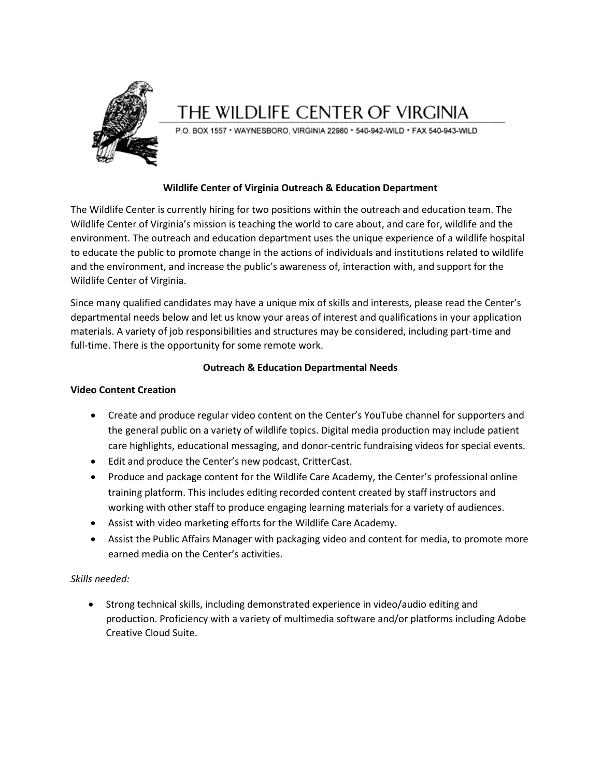

# THE WILDLIFE CENTER OF VIRGINIA

P.O. BOX 1557 · WAYNESBORO, VIRGINIA 22980 · 540-942-WILD · FAX 540-943-WILD

## **Wildlife Center of Virginia Outreach & Education Department**

The Wildlife Center is currently hiring for two positions within the outreach and education team. The Wildlife Center of Virginia's mission is teaching the world to care about, and care for, wildlife and the environment. The outreach and education department uses the unique experience of a wildlife hospital to educate the public to promote change in the actions of individuals and institutions related to wildlife and the environment, and increase the public's awareness of, interaction with, and support for the Wildlife Center of Virginia.

Since many qualified candidates may have a unique mix of skills and interests, please read the Center's departmental needs below and let us know your areas of interest and qualifications in your application materials. A variety of job responsibilities and structures may be considered, including part-time and full-time. There is the opportunity for some remote work.

# **Outreach & Education Departmental Needs**

## **Video Content Creation**

- Create and produce regular video content on the Center's YouTube channel for supporters and the general public on a variety of wildlife topics. Digital media production may include patient care highlights, educational messaging, and donor-centric fundraising videos for special events.
- Edit and produce the Center's new podcast, CritterCast.
- Produce and package content for the Wildlife Care Academy, the Center's professional online training platform. This includes editing recorded content created by staff instructors and working with other staff to produce engaging learning materials for a variety of audiences.
- Assist with video marketing efforts for the Wildlife Care Academy.
- Assist the Public Affairs Manager with packaging video and content for media, to promote more earned media on the Center's activities.

# *Skills needed:*

 Strong technical skills, including demonstrated experience in video/audio editing and production. Proficiency with a variety of multimedia software and/or platforms including Adobe Creative Cloud Suite.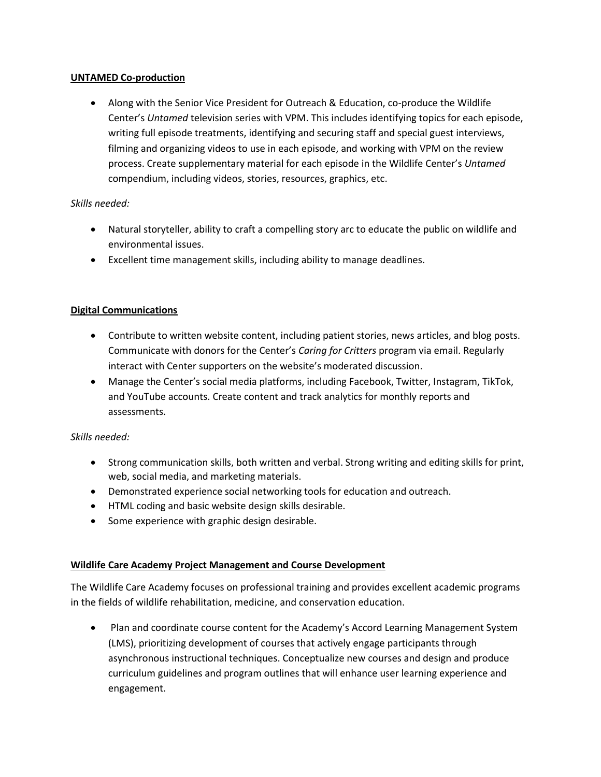# **UNTAMED Co-production**

 Along with the Senior Vice President for Outreach & Education, co-produce the Wildlife Center's *Untamed* television series with VPM. This includes identifying topics for each episode, writing full episode treatments, identifying and securing staff and special guest interviews, filming and organizing videos to use in each episode, and working with VPM on the review process. Create supplementary material for each episode in the Wildlife Center's *Untamed* compendium, including videos, stories, resources, graphics, etc.

# *Skills needed:*

- Natural storyteller, ability to craft a compelling story arc to educate the public on wildlife and environmental issues.
- Excellent time management skills, including ability to manage deadlines.

# **Digital Communications**

- Contribute to written website content, including patient stories, news articles, and blog posts. Communicate with donors for the Center's *Caring for Critters* program via email. Regularly interact with Center supporters on the website's moderated discussion.
- Manage the Center's social media platforms, including Facebook, Twitter, Instagram, TikTok, and YouTube accounts. Create content and track analytics for monthly reports and assessments.

### *Skills needed:*

- Strong communication skills, both written and verbal. Strong writing and editing skills for print, web, social media, and marketing materials.
- Demonstrated experience social networking tools for education and outreach.
- HTML coding and basic website design skills desirable.
- Some experience with graphic design desirable.

# **Wildlife Care Academy Project Management and Course Development**

The Wildlife Care Academy focuses on professional training and provides excellent academic programs in the fields of wildlife rehabilitation, medicine, and conservation education.

 Plan and coordinate course content for the Academy's Accord Learning Management System (LMS), prioritizing development of courses that actively engage participants through asynchronous instructional techniques. Conceptualize new courses and design and produce curriculum guidelines and program outlines that will enhance user learning experience and engagement.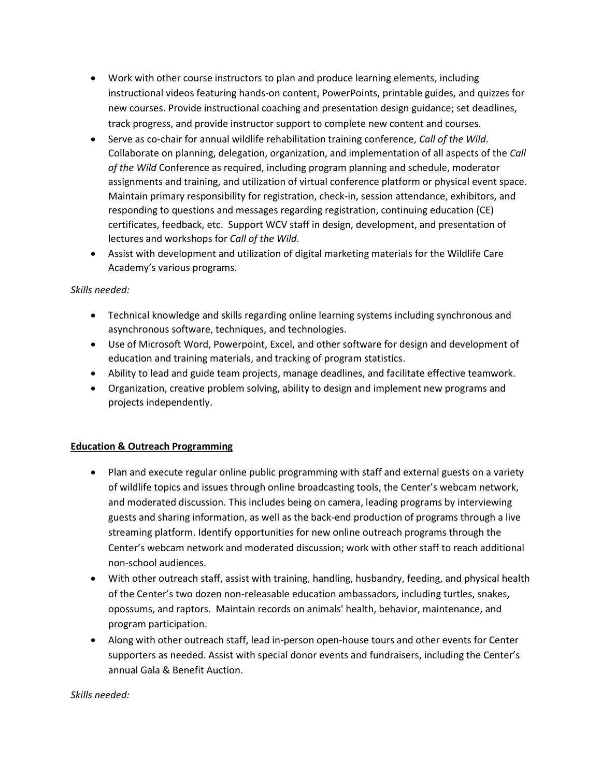- Work with other course instructors to plan and produce learning elements, including instructional videos featuring hands-on content, PowerPoints, printable guides, and quizzes for new courses. Provide instructional coaching and presentation design guidance; set deadlines, track progress, and provide instructor support to complete new content and courses.
- Serve as co-chair for annual wildlife rehabilitation training conference, *Call of the Wild*. Collaborate on planning, delegation, organization, and implementation of all aspects of the *Call of the Wild* Conference as required, including program planning and schedule, moderator assignments and training, and utilization of virtual conference platform or physical event space. Maintain primary responsibility for registration, check-in, session attendance, exhibitors, and responding to questions and messages regarding registration, continuing education (CE) certificates, feedback, etc. Support WCV staff in design, development, and presentation of lectures and workshops for *Call of the Wild*.
- Assist with development and utilization of digital marketing materials for the Wildlife Care Academy's various programs.

# *Skills needed:*

- Technical knowledge and skills regarding online learning systems including synchronous and asynchronous software, techniques, and technologies.
- Use of Microsoft Word, Powerpoint, Excel, and other software for design and development of education and training materials, and tracking of program statistics.
- Ability to lead and guide team projects, manage deadlines, and facilitate effective teamwork.
- Organization, creative problem solving, ability to design and implement new programs and projects independently.

# **Education & Outreach Programming**

- Plan and execute regular online public programming with staff and external guests on a variety of wildlife topics and issues through online broadcasting tools, the Center's webcam network, and moderated discussion. This includes being on camera, leading programs by interviewing guests and sharing information, as well as the back-end production of programs through a live streaming platform. Identify opportunities for new online outreach programs through the Center's webcam network and moderated discussion; work with other staff to reach additional non-school audiences.
- With other outreach staff, assist with training, handling, husbandry, feeding, and physical health of the Center's two dozen non-releasable education ambassadors, including turtles, snakes, opossums, and raptors. Maintain records on animals' health, behavior, maintenance, and program participation.
- Along with other outreach staff, lead in-person open-house tours and other events for Center supporters as needed. Assist with special donor events and fundraisers, including the Center's annual Gala & Benefit Auction.

#### *Skills needed:*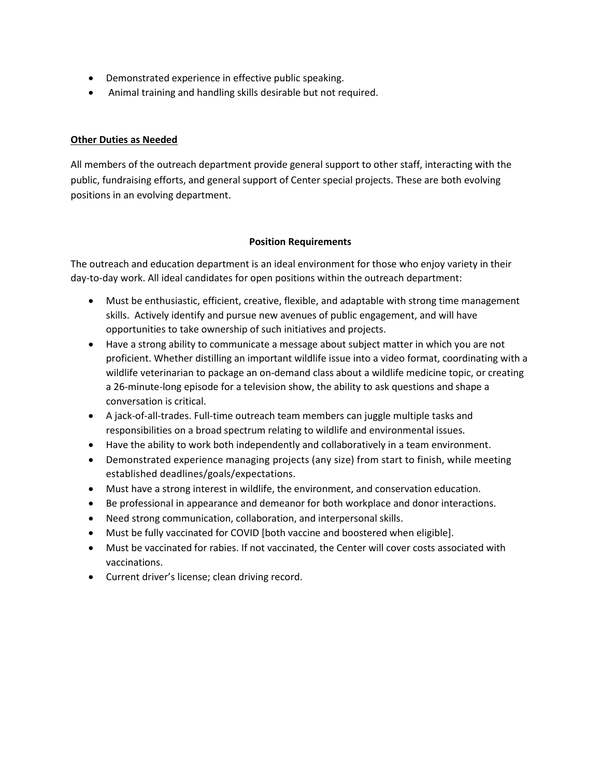- Demonstrated experience in effective public speaking.
- Animal training and handling skills desirable but not required.

# **Other Duties as Needed**

All members of the outreach department provide general support to other staff, interacting with the public, fundraising efforts, and general support of Center special projects. These are both evolving positions in an evolving department.

# **Position Requirements**

The outreach and education department is an ideal environment for those who enjoy variety in their day-to-day work. All ideal candidates for open positions within the outreach department:

- Must be enthusiastic, efficient, creative, flexible, and adaptable with strong time management skills. Actively identify and pursue new avenues of public engagement, and will have opportunities to take ownership of such initiatives and projects.
- Have a strong ability to communicate a message about subject matter in which you are not proficient. Whether distilling an important wildlife issue into a video format, coordinating with a wildlife veterinarian to package an on-demand class about a wildlife medicine topic, or creating a 26-minute-long episode for a television show, the ability to ask questions and shape a conversation is critical.
- A jack-of-all-trades. Full-time outreach team members can juggle multiple tasks and responsibilities on a broad spectrum relating to wildlife and environmental issues.
- Have the ability to work both independently and collaboratively in a team environment.
- Demonstrated experience managing projects (any size) from start to finish, while meeting established deadlines/goals/expectations.
- Must have a strong interest in wildlife, the environment, and conservation education.
- Be professional in appearance and demeanor for both workplace and donor interactions.
- Need strong communication, collaboration, and interpersonal skills.
- Must be fully vaccinated for COVID [both vaccine and boostered when eligible].
- Must be vaccinated for rabies. If not vaccinated, the Center will cover costs associated with vaccinations.
- Current driver's license; clean driving record.